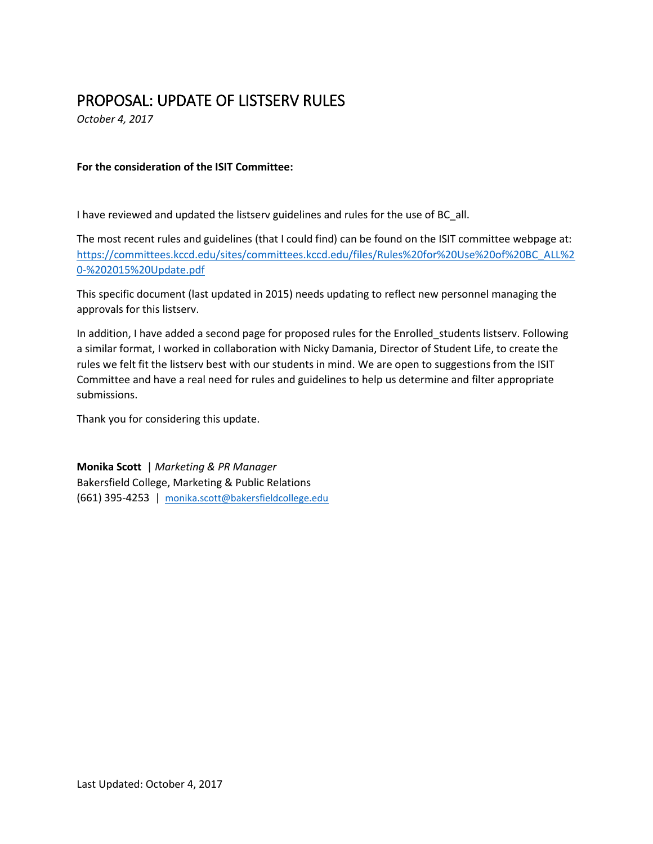# PROPOSAL: UPDATE OF LISTSERV RULES

*October 4, 2017*

### **For the consideration of the ISIT Committee:**

I have reviewed and updated the listserv guidelines and rules for the use of BC\_all.

The most recent rules and guidelines (that I could find) can be found on the ISIT committee webpage at: [https://committees.kccd.edu/sites/committees.kccd.edu/files/Rules%20for%20Use%20of%20BC\\_ALL%2](https://committees.kccd.edu/sites/committees.kccd.edu/files/Rules%20for%20Use%20of%20BC_ALL%20-%202015%20Update.pdf) [0-%202015%20Update.pdf](https://committees.kccd.edu/sites/committees.kccd.edu/files/Rules%20for%20Use%20of%20BC_ALL%20-%202015%20Update.pdf)

This specific document (last updated in 2015) needs updating to reflect new personnel managing the approvals for this listserv.

In addition, I have added a second page for proposed rules for the Enrolled\_students listserv. Following a similar format, I worked in collaboration with Nicky Damania, Director of Student Life, to create the rules we felt fit the listserv best with our students in mind. We are open to suggestions from the ISIT Committee and have a real need for rules and guidelines to help us determine and filter appropriate submissions.

Thank you for considering this update.

**Monika Scott** | *Marketing & PR Manager* Bakersfield College, Marketing & Public Relations (661) 395-4253 | [monika.scott@bakersfieldcollege.edu](mailto:monika.scott@bakersfieldcollege.edu)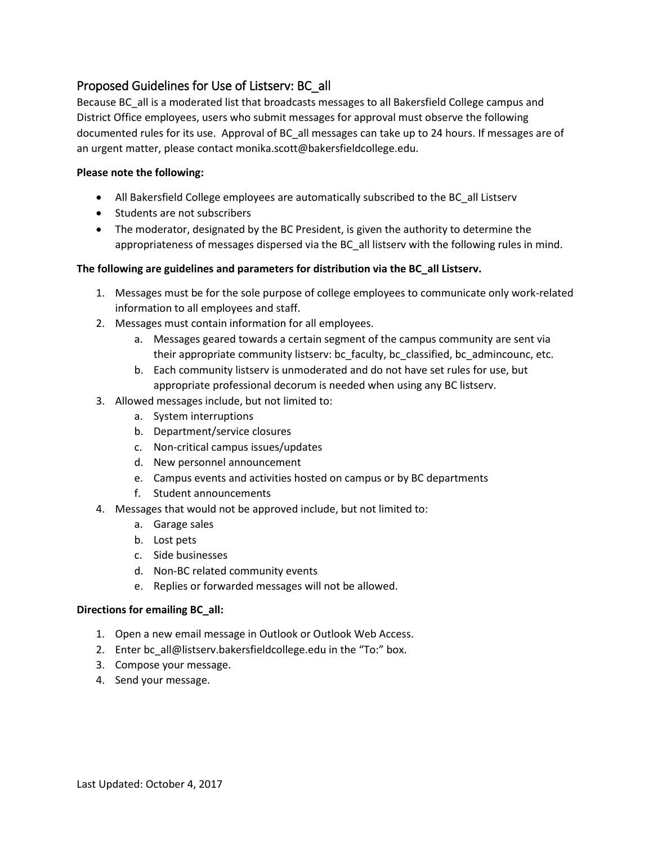# Proposed Guidelines for Use of Listserv: BC\_all

Because BC all is a moderated list that broadcasts messages to all Bakersfield College campus and District Office employees, users who submit messages for approval must observe the following documented rules for its use. Approval of BC\_all messages can take up to 24 hours. If messages are of an urgent matter, please contact monika.scott@bakersfieldcollege.edu.

## **Please note the following:**

- All Bakersfield College employees are automatically subscribed to the BC\_all Listserv
- Students are not subscribers
- The moderator, designated by the BC President, is given the authority to determine the appropriateness of messages dispersed via the BC\_all listserv with the following rules in mind.

#### **The following are guidelines and parameters for distribution via the BC\_all Listserv.**

- 1. Messages must be for the sole purpose of college employees to communicate only work-related information to all employees and staff.
- 2. Messages must contain information for all employees.
	- a. Messages geared towards a certain segment of the campus community are sent via their appropriate community listserv: bc\_faculty, bc\_classified, bc\_admincounc, etc.
	- b. Each community listserv is unmoderated and do not have set rules for use, but appropriate professional decorum is needed when using any BC listserv.
- 3. Allowed messages include, but not limited to:
	- a. System interruptions
	- b. Department/service closures
	- c. Non-critical campus issues/updates
	- d. New personnel announcement
	- e. Campus events and activities hosted on campus or by BC departments
	- f. Student announcements
- 4. Messages that would not be approved include, but not limited to:
	- a. Garage sales
	- b. Lost pets
	- c. Side businesses
	- d. Non-BC related community events
	- e. Replies or forwarded messages will not be allowed.

#### **Directions for emailing BC\_all:**

- 1. Open a new email message in Outlook or Outlook Web Access.
- 2. Ente[r bc\\_all@listserv.bakersfieldcollege.edu in](mailto:bc_all@listserv.bakersfieldcollege.edu) the "To:" box.
- 3. Compose your message.
- 4. Send your message.